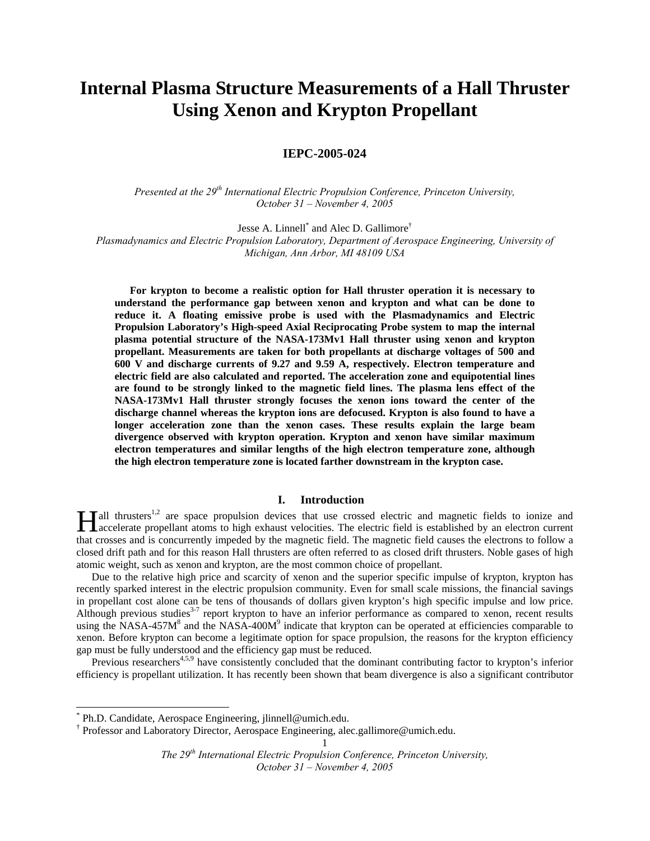# **Internal Plasma Structure Measurements of a Hall Thruster Using Xenon and Krypton Propellant**

## **IEPC-2005-024**

*Presented at the 29th International Electric Propulsion Conference, Princeton University, October 31 – November 4, 2005*

Jesse A. Linnell<sup>\*</sup> [a](#page-0-0)nd Alec D. Gallimore<sup>[†](#page-0-1)</sup> *Plasmadynamics and Electric Propulsion Laboratory, Department of Aerospace Engineering, University of Michigan, Ann Arbor, MI 48109 USA* 

**For krypton to become a realistic option for Hall thruster operation it is necessary to understand the performance gap between xenon and krypton and what can be done to reduce it. A floating emissive probe is used with the Plasmadynamics and Electric Propulsion Laboratory's High-speed Axial Reciprocating Probe system to map the internal plasma potential structure of the NASA-173Mv1 Hall thruster using xenon and krypton propellant. Measurements are taken for both propellants at discharge voltages of 500 and 600 V and discharge currents of 9.27 and 9.59 A, respectively. Electron temperature and electric field are also calculated and reported. The acceleration zone and equipotential lines are found to be strongly linked to the magnetic field lines. The plasma lens effect of the NASA-173Mv1 Hall thruster strongly focuses the xenon ions toward the center of the discharge channel whereas the krypton ions are defocused. Krypton is also found to have a longer acceleration zone than the xenon cases. These results explain the large beam divergence observed with krypton operation. Krypton and xenon have similar maximum electron temperatures and similar lengths of the high electron temperature zone, although the high electron temperature zone is located farther downstream in the krypton case.** 

## **I. Introduction**

**Hall thrusters**<sup>1,2</sup> are space propulsion devices that use crossed electric and magnetic fields to ionize and accelerate propellant atoms to high exhaust velocities. The electric field is established by an electron curren accelerate propellant atoms to high exhaust velocities. The electric field is established by an electron current that crosses and is concurrently impeded by the magnetic field. The magnetic field causes the electrons to follow a closed drift path and for this reason Hall thrusters are often referred to as closed drift thrusters. Noble gases of high atomic weight, such as xenon and krypton, are the most common choice of propellant.

Due to the relative high price and scarcity of xenon and the superior specific impulse of krypton, krypton has recently sparked interest in the electric propulsion community. Even for small scale missions, the financial savings in propellant cost alone can be tens of thousands of dollars given krypton's high specific impulse and low price. Although previous studies<sup>3-7</sup> report krypton to have an inferior performance as compared to xenon, recent results using the NASA-457 $M^8$  and the NASA-400 $M^9$  indicate that krypton can be operated at efficiencies comparable to xenon. Before krypton can become a legitimate option for space propulsion, the reasons for the krypton efficiency gap must be fully understood and the efficiency gap must be reduced.

Previous researchers<sup>4,5,9</sup> have consistently concluded that the dominant contributing factor to krypton's inferior efficiency is propellant utilization. It has recently been shown that beam divergence is also a significant contributor

<span id="page-0-0"></span> <sup>\*</sup> Ph.D. Candidate, Aerospace Engineering, jlinnell@umich.edu.

<span id="page-0-1"></span><sup>†</sup> Professor and Laboratory Director, Aerospace Engineering, alec.gallimore@umich.edu.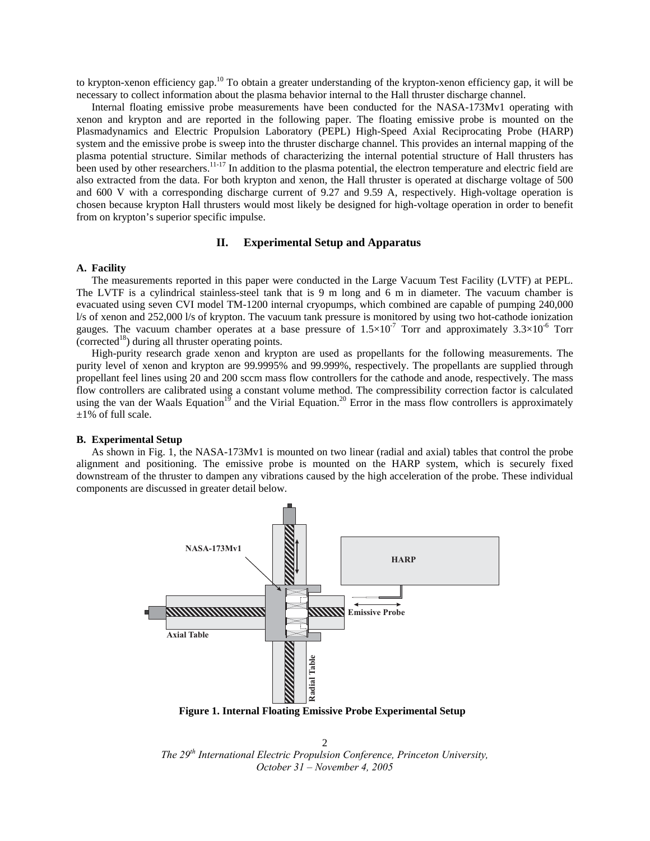to krypton-xenon efficiency gap.<sup>10</sup> To obtain a greater understanding of the krypton-xenon efficiency gap, it will be necessary to collect information about the plasma behavior internal to the Hall thruster discharge channel.

Internal floating emissive probe measurements have been conducted for the NASA-173Mv1 operating with xenon and krypton and are reported in the following paper. The floating emissive probe is mounted on the Plasmadynamics and Electric Propulsion Laboratory (PEPL) High-Speed Axial Reciprocating Probe (HARP) system and the emissive probe is sweep into the thruster discharge channel. This provides an internal mapping of the plasma potential structure. Similar methods of characterizing the internal potential structure of Hall thrusters has been used by other researchers.<sup>11-17</sup> In addition to the plasma potential, the electron temperature and electric field are also extracted from the data. For both krypton and xenon, the Hall thruster is operated at discharge voltage of 500 and 600 V with a corresponding discharge current of 9.27 and 9.59 A, respectively. High-voltage operation is chosen because krypton Hall thrusters would most likely be designed for high-voltage operation in order to benefit from on krypton's superior specific impulse.

## **II. Experimental Setup and Apparatus**

## **A. Facility**

The measurements reported in this paper were conducted in the Large Vacuum Test Facility (LVTF) at PEPL. The LVTF is a cylindrical stainless-steel tank that is 9 m long and 6 m in diameter. The vacuum chamber is evacuated using seven CVI model TM-1200 internal cryopumps, which combined are capable of pumping 240,000 l/s of xenon and 252,000 l/s of krypton. The vacuum tank pressure is monitored by using two hot-cathode ionization gauges. The vacuum chamber operates at a base pressure of  $1.5 \times 10^{-7}$  Torr and approximately  $3.3 \times 10^{-6}$  Torr (corrected<sup>18</sup>) during all thruster operating points.

High-purity research grade xenon and krypton are used as propellants for the following measurements. The purity level of xenon and krypton are 99.9995% and 99.999%, respectively. The propellants are supplied through propellant feel lines using 20 and 200 sccm mass flow controllers for the cathode and anode, respectively. The mass flow controllers are calibrated using a constant volume method. The compressibility correction factor is calculated using the van der Waals Equation<sup>19</sup> and the Virial Equation.<sup>20</sup> Error in the mass flow controllers is approximately  $\pm 1\%$  of full scale.

#### **B. Experimental Setup**

As shown in Fig. 1, the NASA-173Mv1 is mounted on two linear (radial and axial) tables that control the probe alignment and positioning. The emissive probe is mounted on the HARP system, which is securely fixed downstream of the thruster to dampen any vibrations caused by the high acceleration of the probe. These individual components are discussed in greater detail below.



**Figure 1. Internal Floating Emissive Probe Experimental Setup** 

*The 29th International Electric Propulsion Conference, Princeton University, October 31 – November 4, 2005*  $\overline{2}$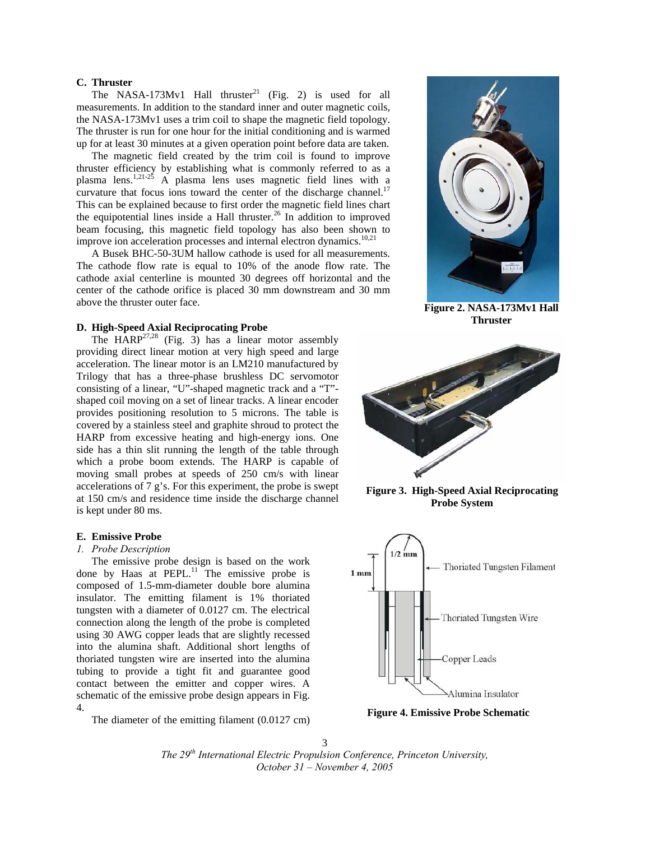## **C. Thruster**

The NASA-173Mv1 Hall thruster<sup>21</sup> (Fig. 2) is used for all measurements. In addition to the standard inner and outer magnetic coils, the NASA-173Mv1 uses a trim coil to shape the magnetic field topology. The thruster is run for one hour for the initial conditioning and is warmed up for at least 30 minutes at a given operation point before data are taken.

The magnetic field created by the trim coil is found to improve thruster efficiency by establishing what is commonly referred to as a plasma lens.<sup>1,21-25</sup> A plasma lens uses magnetic field lines with a curvature that focus ions toward the center of the discharge channel.<sup>17</sup> This can be explained because to first order the magnetic field lines chart the equipotential lines inside a Hall thruster. $^{26}$  In addition to improved beam focusing, this magnetic field topology has also been shown to improve ion acceleration processes and internal electron dynamics.<sup>10,21</sup>

A Busek BHC-50-3UM hallow cathode is used for all measurements. The cathode flow rate is equal to 10% of the anode flow rate. The cathode axial centerline is mounted 30 degrees off horizontal and the center of the cathode orifice is placed 30 mm downstream and 30 mm above the thruster outer face.<br> **Figure 2. NASA-173Mv1 Hall** 

## **Thruster D. High-Speed Axial Reciprocating Probe**

The  $HARP<sup>27,28</sup>$  (Fig. 3) has a linear motor assembly providing direct linear motion at very high speed and large acceleration. The linear motor is an LM210 manufactured by Trilogy that has a three-phase brushless DC servomotor consisting of a linear, "U"-shaped magnetic track and a "T" shaped coil moving on a set of linear tracks. A linear encoder provides positioning resolution to 5 microns. The table is covered by a stainless steel and graphite shroud to protect the HARP from excessive heating and high-energy ions. One side has a thin slit running the length of the table through which a probe boom extends. The HARP is capable of moving small probes at speeds of 250 cm/s with linear accelerations of 7 g's. For this experiment, the probe is swept at 150 cm/s and residence time inside the discharge channel is kept under 80 ms.

#### **E. Emissive Probe**

#### *1. Probe Description*

The emissive probe design is based on the work done by Haas at PEPL. $^{11}$  The emissive probe is composed of 1.5-mm-diameter double bore alumina insulator. The emitting filament is 1% thoriated tungsten with a diameter of 0.0127 cm. The electrical connection along the length of the probe is completed using 30 AWG copper leads that are slightly recessed into the alumina shaft. Additional short lengths of thoriated tungsten wire are inserted into the alumina tubing to provide a tight fit and guarantee good contact between the emitter and copper wires. A schematic of the emissive probe design appears in Fig. 4.

The diameter of the emitting filament (0.0127 cm)





**Figure 3. High-Speed Axial Reciprocating Probe System**



**Figure 4. Emissive Probe Schematic**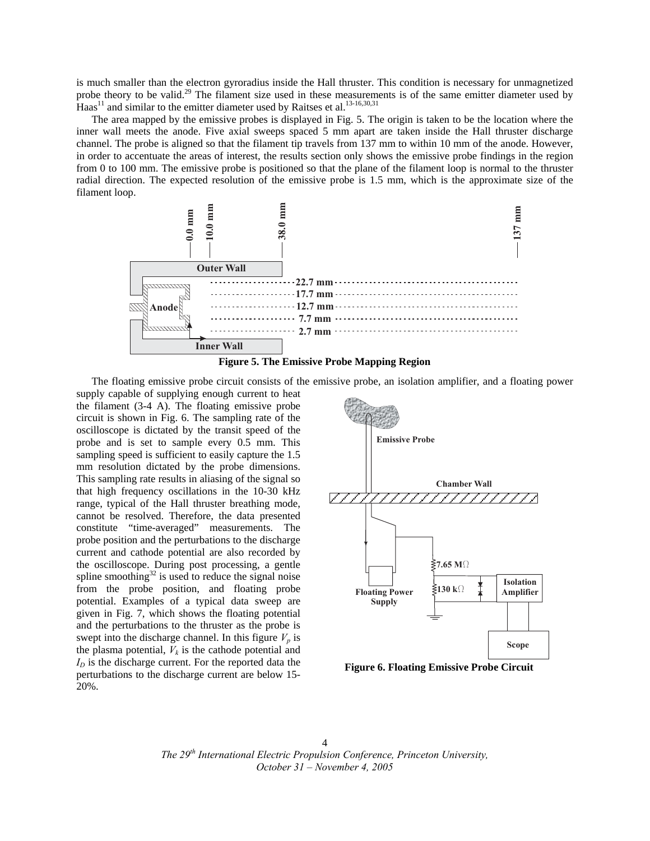is much smaller than the electron gyroradius inside the Hall thruster. This condition is necessary for unmagnetized probe theory to be valid.<sup>29</sup> The filament size used in these measurements is of the same emitter diameter used by Haas<sup>11</sup> and similar to the emitter diameter used by Raitses et al.<sup>13-16,30,31</sup>

The area mapped by the emissive probes is displayed in Fig. 5. The origin is taken to be the location where the inner wall meets the anode. Five axial sweeps spaced 5 mm apart are taken inside the Hall thruster discharge channel. The probe is aligned so that the filament tip travels from 137 mm to within 10 mm of the anode. However, in order to accentuate the areas of interest, the results section only shows the emissive probe findings in the region from 0 to 100 mm. The emissive probe is positioned so that the plane of the filament loop is normal to the thruster radial direction. The expected resolution of the emissive probe is 1.5 mm, which is the approximate size of the filament loop.





The floating emissive probe circuit consists of the emissive probe, an isolation amplifier, and a floating power

supply capable of supplying enough current to heat the filament (3-4 A). The floating emissive probe circuit is shown in Fig. 6. The sampling rate of the oscilloscope is dictated by the transit speed of the probe and is set to sample every 0.5 mm. This sampling speed is sufficient to easily capture the 1.5 mm resolution dictated by the probe dimensions. This sampling rate results in aliasing of the signal so that high frequency oscillations in the 10-30 kHz range, typical of the Hall thruster breathing mode, cannot be resolved. Therefore, the data presented constitute "time-averaged" measurements. The probe position and the perturbations to the discharge current and cathode potential are also recorded by the oscilloscope. During post processing, a gentle spline smoothing $32$  is used to reduce the signal noise from the probe position, and floating probe potential. Examples of a typical data sweep are given in Fig. 7, which shows the floating potential and the perturbations to the thruster as the probe is swept into the discharge channel. In this figure  $V_p$  is the plasma potential,  $V_k$  is the cathode potential and  $I_D$  is the discharge current. For the reported data the perturbations to the discharge current are below 15- 20%.



**Figure 6. Floating Emissive Probe Circuit**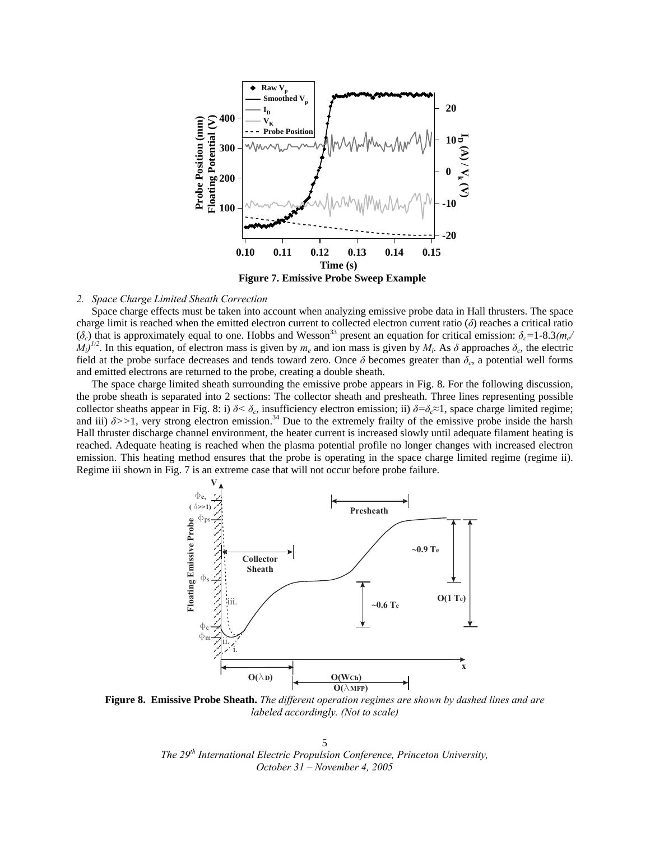

**Figure 7. Emissive Probe Sweep Example** 

## *2. Space Charge Limited Sheath Correction*

Space charge effects must be taken into account when analyzing emissive probe data in Hall thrusters. The space charge limit is reached when the emitted electron current to collected electron current ratio  $(\delta)$  reaches a critical ratio  $(\delta_c)$  that is approximately equal to one. Hobbs and Wesson<sup>33</sup> present an equation for critical emission:  $\delta_c = 1$ -8.3*(me/*  $M_i$ <sup> $1/2$ </sup>. In this equation, of electron mass is given by  $m_e$  and ion mass is given by  $M_i$ . As  $\delta$  approaches  $\delta_c$ , the electric field at the probe surface decreases and tends toward zero. Once  $\delta$  becomes greater than  $\delta_c$ , a potential well forms and emitted electrons are returned to the probe, creating a double sheath.

The space charge limited sheath surrounding the emissive probe appears in Fig. 8. For the following discussion, the probe sheath is separated into 2 sections: The collector sheath and presheath. Three lines representing possible collector sheaths appear in Fig. 8: i)  $\delta < \delta_c$ , insufficiency electron emission; ii)  $\delta = \delta_c \approx 1$ , space charge limited regime; and iii)  $\delta$ >>1, very strong electron emission.<sup>34</sup> Due to the extremely frailty of the emissive probe inside the harsh Hall thruster discharge channel environment, the heater current is increased slowly until adequate filament heating is reached. Adequate heating is reached when the plasma potential profile no longer changes with increased electron emission. This heating method ensures that the probe is operating in the space charge limited regime (regime ii). Regime iii shown in Fig. 7 is an extreme case that will not occur before probe failure.



**Figure 8. Emissive Probe Sheath.** *The different operation regimes are shown by dashed lines and are labeled accordingly. (Not to scale)*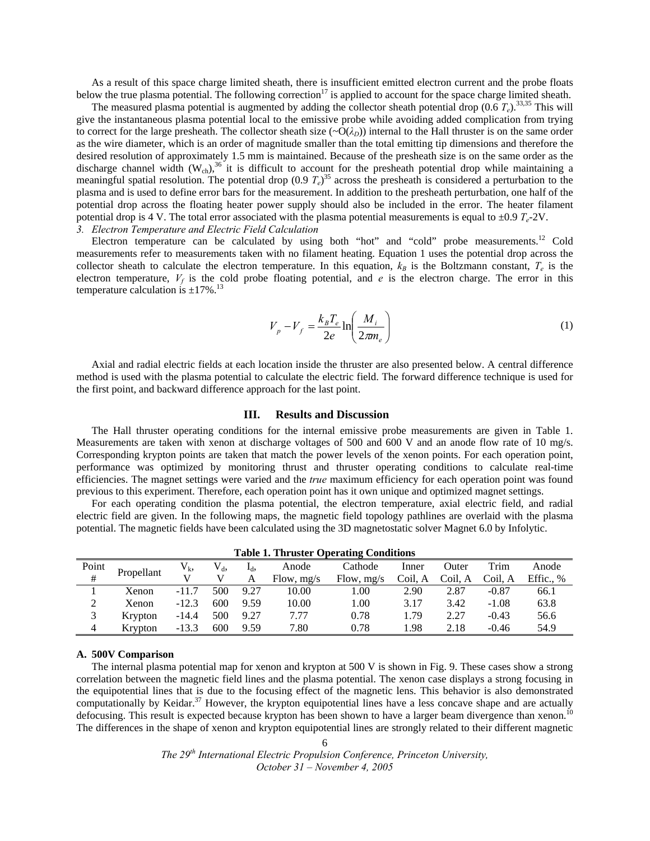As a result of this space charge limited sheath, there is insufficient emitted electron current and the probe floats below the true plasma potential. The following correction<sup>17</sup> is applied to account for the space charge limited sheath.

The measured plasma potential is augmented by adding the collector sheath potential drop  $(0.6 T_e)^{33,35}$  This will give the instantaneous plasma potential local to the emissive probe while avoiding added complication from trying to correct for the large presheath. The collector sheath size  $(\sim O(\lambda_D))$  internal to the Hall thruster is on the same order as the wire diameter, which is an order of magnitude smaller than the total emitting tip dimensions and therefore the desired resolution of approximately 1.5 mm is maintained. Because of the presheath size is on the same order as the discharge channel width  $(W_{ch})^{36}$  it is difficult to account for the presheath potential drop while maintaining a meaningful spatial resolution. The potential drop (0.9 *Te*) 35 across the presheath is considered a perturbation to the plasma and is used to define error bars for the measurement. In addition to the presheath perturbation, one half of the potential drop across the floating heater power supply should also be included in the error. The heater filament potential drop is 4 V. The total error associated with the plasma potential measurements is equal to  $\pm 0.9 T_e$ -2V. *3. Electron Temperature and Electric Field Calculation* 

Electron temperature can be calculated by using both "hot" and "cold" probe measurements.<sup>12</sup> Cold measurements refer to measurements taken with no filament heating. Equation 1 uses the potential drop across the collector sheath to calculate the electron temperature. In this equation,  $k_B$  is the Boltzmann constant,  $T_e$  is the electron temperature,  $V_f$  is the cold probe floating potential, and  $e$  is the electron charge. The error in this temperature calculation is  $\pm 17\%$ .<sup>13</sup>

$$
V_p - V_f = \frac{k_B T_e}{2e} \ln \left( \frac{M_i}{2\pi m_e} \right) \tag{1}
$$

Axial and radial electric fields at each location inside the thruster are also presented below. A central difference method is used with the plasma potential to calculate the electric field. The forward difference technique is used for the first point, and backward difference approach for the last point.

## **III. Results and Discussion**

The Hall thruster operating conditions for the internal emissive probe measurements are given in Table 1. Measurements are taken with xenon at discharge voltages of 500 and 600 V and an anode flow rate of 10 mg/s. Corresponding krypton points are taken that match the power levels of the xenon points. For each operation point, performance was optimized by monitoring thrust and thruster operating conditions to calculate real-time efficiencies. The magnet settings were varied and the *true* maximum efficiency for each operation point was found previous to this experiment. Therefore, each operation point has it own unique and optimized magnet settings.

For each operating condition the plasma potential, the electron temperature, axial electric field, and radial electric field are given. In the following maps, the magnetic field topology pathlines are overlaid with the plasma potential. The magnetic fields have been calculated using the 3D magnetostatic solver Magnet 6.0 by Infolytic.

| Table 1. Thruster Operating Conditions |            |         |         |                  |              |              |         |         |         |           |
|----------------------------------------|------------|---------|---------|------------------|--------------|--------------|---------|---------|---------|-----------|
| Point                                  | Propellant | $V_{k}$ | $V_{d}$ | I <sub>d</sub> , | Anode        | Cathode      | Inner   | Outer   | Trim    | Anode     |
| #                                      |            |         |         | A                | Flow, $mg/s$ | Flow, $mg/s$ | Coil. A | Coil. A | Coil. A | Effic., % |
|                                        | Xenon      | $-11.7$ | 500     | 9.27             | 10.00        | 1.00         | 2.90    | 2.87    | $-0.87$ | 66.1      |
| ∍<br>∠                                 | Xenon      | $-12.3$ | 600     | 9.59             | 10.00        | 1.00         | 3.17    | 3.42    | $-1.08$ | 63.8      |
|                                        | Krypton    | $-14.4$ | 500     | 9.27             | 7.77         | 0.78         | 1.79    | 2.27    | $-0.43$ | 56.6      |
| 4                                      | Krypton    | $-13.3$ | 600     | 9.59             | 7.80         | 0.78         | .98     | 2.18    | $-0.46$ | 54.9      |

**Table 1. Thruster Operating Conditions** 

## **A. 500V Comparison**

The internal plasma potential map for xenon and krypton at 500 V is shown in Fig. 9. These cases show a strong correlation between the magnetic field lines and the plasma potential. The xenon case displays a strong focusing in the equipotential lines that is due to the focusing effect of the magnetic lens. This behavior is also demonstrated computationally by Keidar.<sup>37</sup> However, the krypton equipotential lines have a less concave shape and are actually defocusing. This result is expected because krypton has been shown to have a larger beam divergence than xenon.<sup>10</sup> The differences in the shape of xenon and krypton equipotential lines are strongly related to their different magnetic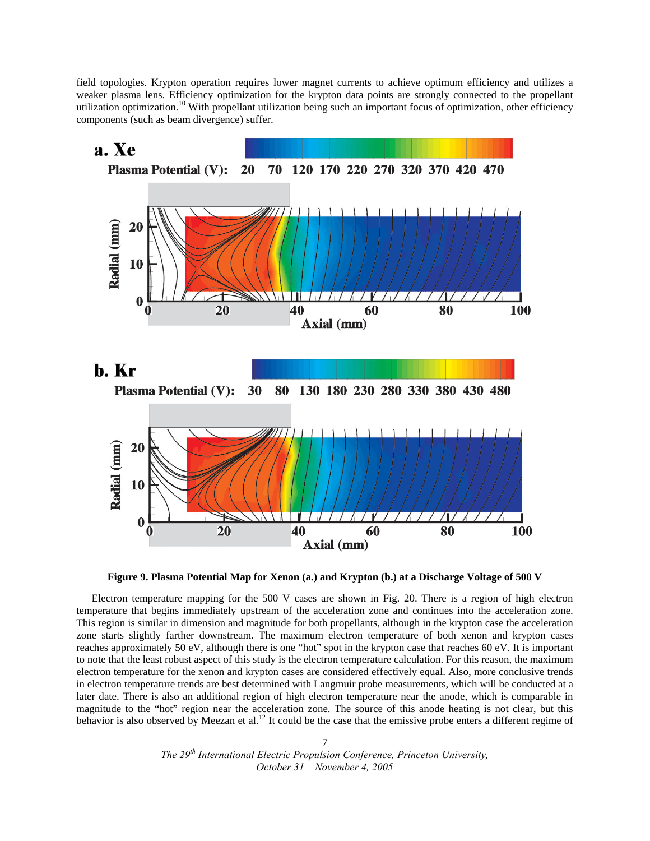field topologies. Krypton operation requires lower magnet currents to achieve optimum efficiency and utilizes a weaker plasma lens. Efficiency optimization for the krypton data points are strongly connected to the propellant utilization optimization.<sup>10</sup> With propellant utilization being such an important focus of optimization, other efficiency components (such as beam divergence) suffer.





Electron temperature mapping for the 500 V cases are shown in Fig. 20. There is a region of high electron temperature that begins immediately upstream of the acceleration zone and continues into the acceleration zone. This region is similar in dimension and magnitude for both propellants, although in the krypton case the acceleration zone starts slightly farther downstream. The maximum electron temperature of both xenon and krypton cases reaches approximately 50 eV, although there is one "hot" spot in the krypton case that reaches 60 eV. It is important to note that the least robust aspect of this study is the electron temperature calculation. For this reason, the maximum electron temperature for the xenon and krypton cases are considered effectively equal. Also, more conclusive trends in electron temperature trends are best determined with Langmuir probe measurements, which will be conducted at a later date. There is also an additional region of high electron temperature near the anode, which is comparable in magnitude to the "hot" region near the acceleration zone. The source of this anode heating is not clear, but this behavior is also observed by Meezan et al.<sup>12</sup> It could be the case that the emissive probe enters a different regime of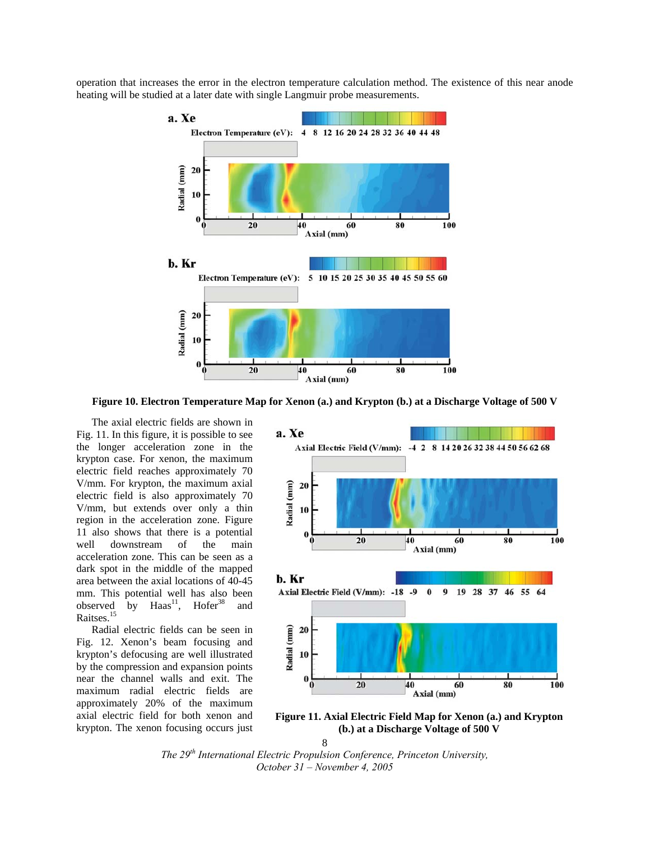operation that increases the error in the electron temperature calculation method. The existence of this near anode heating will be studied at a later date with single Langmuir probe measurements.



**Figure 10. Electron Temperature Map for Xenon (a.) and Krypton (b.) at a Discharge Voltage of 500 V** 

The axial electric fields are shown in Fig. 11. In this figure, it is possible to see the longer acceleration zone in the krypton case. For xenon, the maximum electric field reaches approximately 70 V/mm. For krypton, the maximum axial electric field is also approximately 70 V/mm, but extends over only a thin region in the acceleration zone. Figure 11 also shows that there is a potential well downstream of the main acceleration zone. This can be seen as a dark spot in the middle of the mapped area between the axial locations of 40-45 mm. This potential well has also been<br>observed by  $Haas<sup>11</sup>$ . Hofer<sup>38</sup> and observed by Haas<sup>11</sup>, and Raitses.<sup>15</sup>

Radial electric fields can be seen in Fig. 12. Xenon's beam focusing and krypton's defocusing are well illustrated by the compression and expansion points near the channel walls and exit. The maximum radial electric fields are approximately 20% of the maximum axial electric field for both xenon and krypton. The xenon focusing occurs just



**Figure 11. Axial Electric Field Map for Xenon (a.) and Krypton (b.) at a Discharge Voltage of 500 V** 

<sup>8</sup>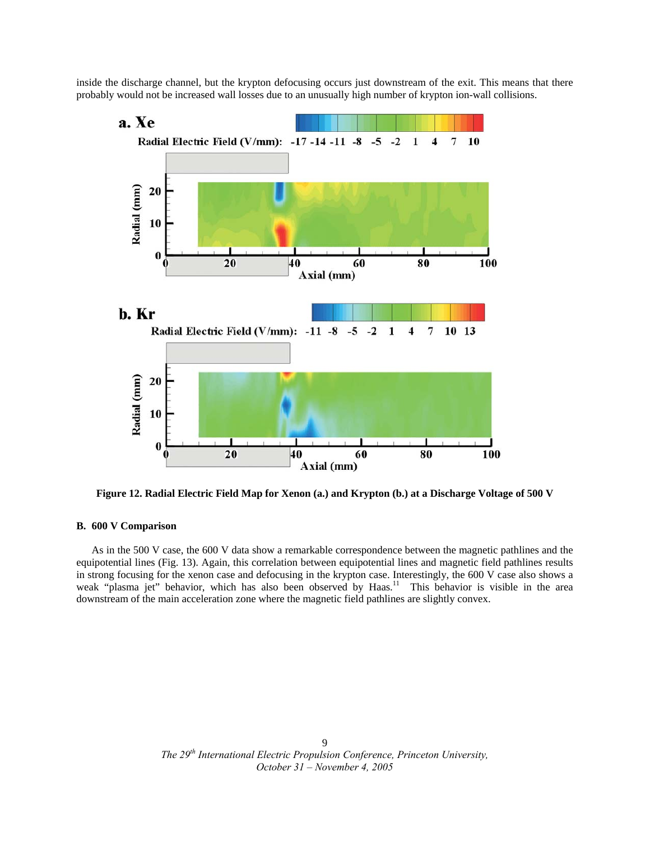inside the discharge channel, but the krypton defocusing occurs just downstream of the exit. This means that there probably would not be increased wall losses due to an unusually high number of krypton ion-wall collisions.



**Figure 12. Radial Electric Field Map for Xenon (a.) and Krypton (b.) at a Discharge Voltage of 500 V** 

## **B. 600 V Comparison**

As in the 500 V case, the 600 V data show a remarkable correspondence between the magnetic pathlines and the equipotential lines (Fig. 13). Again, this correlation between equipotential lines and magnetic field pathlines results in strong focusing for the xenon case and defocusing in the krypton case. Interestingly, the 600 V case also shows a weak "plasma jet" behavior, which has also been observed by Haas.<sup>11</sup> This behavior is visible in the area downstream of the main acceleration zone where the magnetic field pathlines are slightly convex.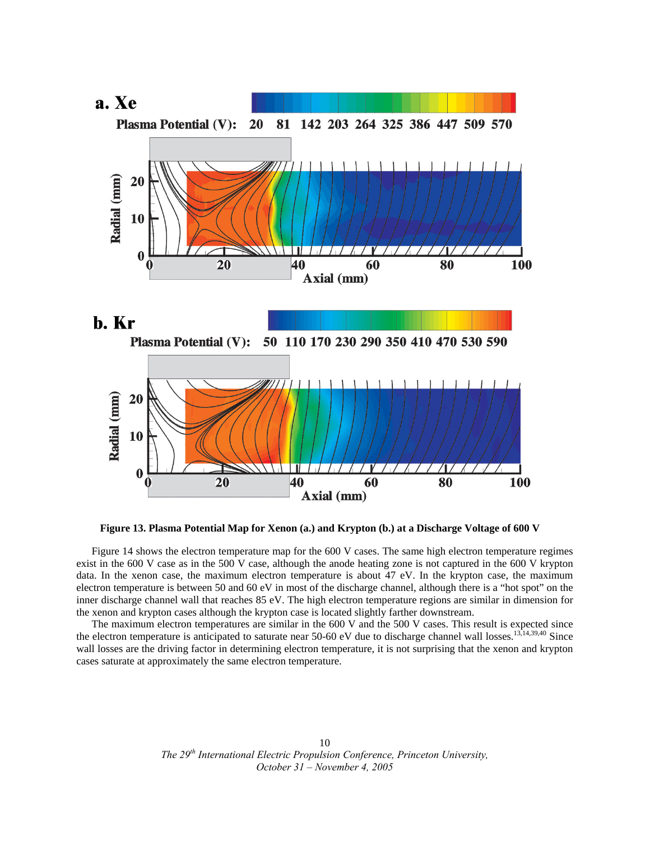

**Figure 13. Plasma Potential Map for Xenon (a.) and Krypton (b.) at a Discharge Voltage of 600 V**

Figure 14 shows the electron temperature map for the 600 V cases. The same high electron temperature regimes exist in the 600 V case as in the 500 V case, although the anode heating zone is not captured in the 600 V krypton data. In the xenon case, the maximum electron temperature is about 47 eV. In the krypton case, the maximum electron temperature is between 50 and 60 eV in most of the discharge channel, although there is a "hot spot" on the inner discharge channel wall that reaches 85 eV. The high electron temperature regions are similar in dimension for the xenon and krypton cases although the krypton case is located slightly farther downstream.

The maximum electron temperatures are similar in the 600 V and the 500 V cases. This result is expected since the electron temperature is anticipated to saturate near 50-60 eV due to discharge channel wall losses.<sup>13,14,39,40</sup> Since wall losses are the driving factor in determining electron temperature, it is not surprising that the xenon and krypton cases saturate at approximately the same electron temperature.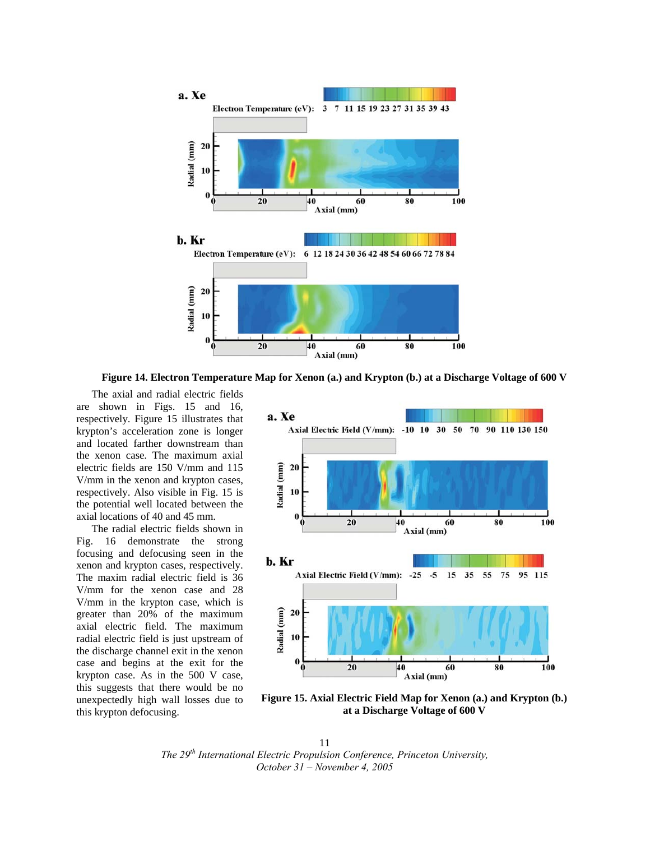

**Figure 14. Electron Temperature Map for Xenon (a.) and Krypton (b.) at a Discharge Voltage of 600 V**

The axial and radial electric fields are shown in Figs. 15 and 16, respectively. Figure 15 illustrates that krypton's acceleration zone is longer and located farther downstream than the xenon case. The maximum axial electric fields are 150 V/mm and 115 V/mm in the xenon and krypton cases, respectively. Also visible in Fig. 15 is the potential well located between the axial locations of 40 and 45 mm.

The radial electric fields shown in Fig. 16 demonstrate the strong focusing and defocusing seen in the xenon and krypton cases, respectively. The maxim radial electric field is 36 V/mm for the xenon case and 28 V/mm in the krypton case, which is greater than 20% of the maximum axial electric field. The maximum radial electric field is just upstream of the discharge channel exit in the xenon case and begins at the exit for the krypton case. As in the 500 V case, this suggests that there would be no unexpectedly high wall losses due to this krypton defocusing.



**Figure 15. Axial Electric Field Map for Xenon (a.) and Krypton (b.) at a Discharge Voltage of 600 V**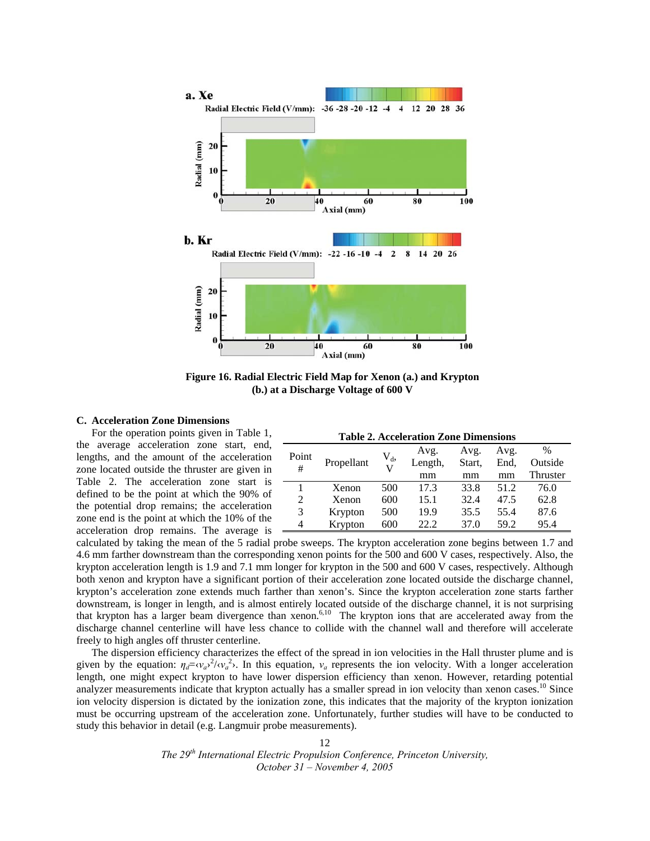

**Figure 16. Radial Electric Field Map for Xenon (a.) and Krypton (b.) at a Discharge Voltage of 600 V** 

## **C. Acceleration Zone Dimensions**

For the operation points given in Table 1, the average acceleration zone start, end, lengths, and the amount of the acceleration zone located outside the thruster are given in Table 2. The acceleration zone start is defined to be the point at which the 90% of the potential drop remains; the acceleration zone end is the point at which the 10% of the acceleration drop remains. The average is

|  |  | <b>Table 2. Acceleration Zone Dimensions</b> |
|--|--|----------------------------------------------|
|--|--|----------------------------------------------|

|       |            |         | Avg.    | Avg.   | Avg. | $\%$     |
|-------|------------|---------|---------|--------|------|----------|
| Point | Propellant | $V_{d}$ | Length, | Start, | End. | Outside  |
| #     |            |         | mm      | mm     | mm   | Thruster |
|       | Xenon      | 500     | 17.3    | 33.8   | 51.2 | 76.0     |
| 2     | Xenon      | 600     | 15.1    | 32.4   | 47.5 | 62.8     |
| 3     | Krypton    | 500     | 19.9    | 35.5   | 55.4 | 87.6     |
| 4     | Krypton    | 600     | 22.2    | 37.0   | 59.2 | 95.4     |

calculated by taking the mean of the 5 radial probe sweeps. The krypton acceleration zone begins between 1.7 and 4.6 mm farther downstream than the corresponding xenon points for the 500 and 600 V cases, respectively. Also, the krypton acceleration length is 1.9 and 7.1 mm longer for krypton in the 500 and 600 V cases, respectively. Although both xenon and krypton have a significant portion of their acceleration zone located outside the discharge channel, krypton's acceleration zone extends much farther than xenon's. Since the krypton acceleration zone starts farther downstream, is longer in length, and is almost entirely located outside of the discharge channel, it is not surprising that krypton has a larger beam divergence than xenon.<sup>6,10</sup> The krypton ions that are accelerated away from the discharge channel centerline will have less chance to collide with the channel wall and therefore will accelerate freely to high angles off thruster centerline.

The dispersion efficiency characterizes the effect of the spread in ion velocities in the Hall thruster plume and is given by the equation:  $\eta_d = \langle v_a v^2 \rangle \langle v_a^2 \rangle$ . In this equation,  $v_a$  represents the ion velocity. With a longer acceleration length, one might expect krypton to have lower dispersion efficiency than xenon. However, retarding potential analyzer measurements indicate that krypton actually has a smaller spread in ion velocity than xenon cases.<sup>10</sup> Since ion velocity dispersion is dictated by the ionization zone, this indicates that the majority of the krypton ionization must be occurring upstream of the acceleration zone. Unfortunately, further studies will have to be conducted to study this behavior in detail (e.g. Langmuir probe measurements).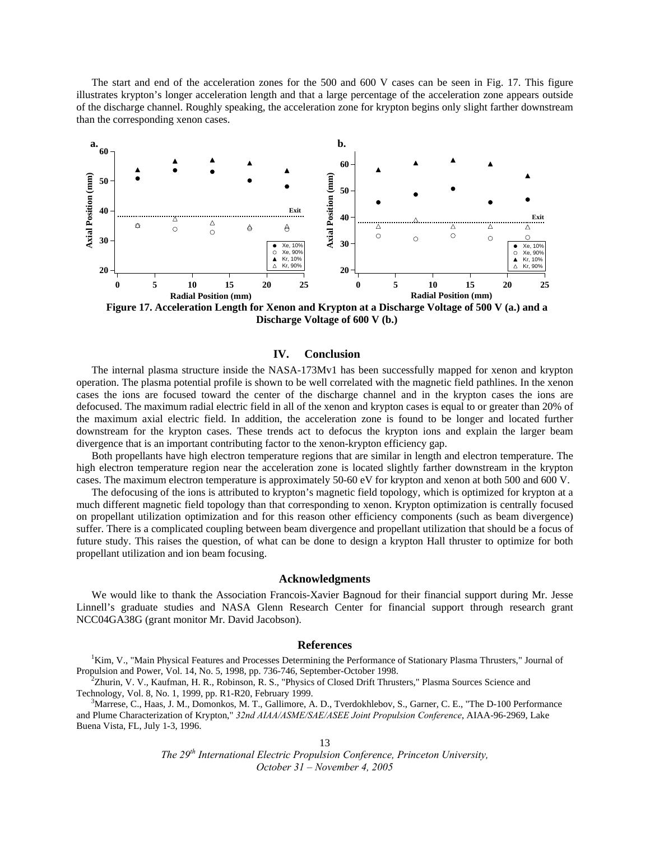The start and end of the acceleration zones for the 500 and 600 V cases can be seen in Fig. 17. This figure illustrates krypton's longer acceleration length and that a large percentage of the acceleration zone appears outside of the discharge channel. Roughly speaking, the acceleration zone for krypton begins only slight farther downstream than the corresponding xenon cases.



**Discharge Voltage of 600 V (b.)**

## **IV. Conclusion**

The internal plasma structure inside the NASA-173Mv1 has been successfully mapped for xenon and krypton operation. The plasma potential profile is shown to be well correlated with the magnetic field pathlines. In the xenon cases the ions are focused toward the center of the discharge channel and in the krypton cases the ions are defocused. The maximum radial electric field in all of the xenon and krypton cases is equal to or greater than 20% of the maximum axial electric field. In addition, the acceleration zone is found to be longer and located further downstream for the krypton cases. These trends act to defocus the krypton ions and explain the larger beam divergence that is an important contributing factor to the xenon-krypton efficiency gap.

Both propellants have high electron temperature regions that are similar in length and electron temperature. The high electron temperature region near the acceleration zone is located slightly farther downstream in the krypton cases. The maximum electron temperature is approximately 50-60 eV for krypton and xenon at both 500 and 600 V.

The defocusing of the ions is attributed to krypton's magnetic field topology, which is optimized for krypton at a much different magnetic field topology than that corresponding to xenon. Krypton optimization is centrally focused on propellant utilization optimization and for this reason other efficiency components (such as beam divergence) suffer. There is a complicated coupling between beam divergence and propellant utilization that should be a focus of future study. This raises the question, of what can be done to design a krypton Hall thruster to optimize for both propellant utilization and ion beam focusing.

## **Acknowledgments**

We would like to thank the Association Francois-Xavier Bagnoud for their financial support during Mr. Jesse Linnell's graduate studies and NASA Glenn Research Center for financial support through research grant NCC04GA38G (grant monitor Mr. David Jacobson).

#### **References**

<sup>1</sup>Kim, V., "Main Physical Features and Processes Determining the Performance of Stationary Plasma Thrusters," Journal of Propulsion and Power, Vol. 14, No. 5, 1998, pp. 736-746, September-October 1998. 2

Zhurin, V. V., Kaufman, H. R., Robinson, R. S., "Physics of Closed Drift Thrusters," Plasma Sources Science and Technology, Vol. 8, No. 1, 1999, pp. R1-R20, February 1999. 3

 ${}^{3}$ Marrese, C., Haas, J. M., Domonkos, M. T., Gallimore, A. D., Tverdokhlebov, S., Garner, C. E., "The D-100 Performance and Plume Characterization of Krypton," *32nd AIAA/ASME/SAE/ASEE Joint Propulsion Conference*, AIAA-96-2969, Lake Buena Vista, FL, July 1-3, 1996.

13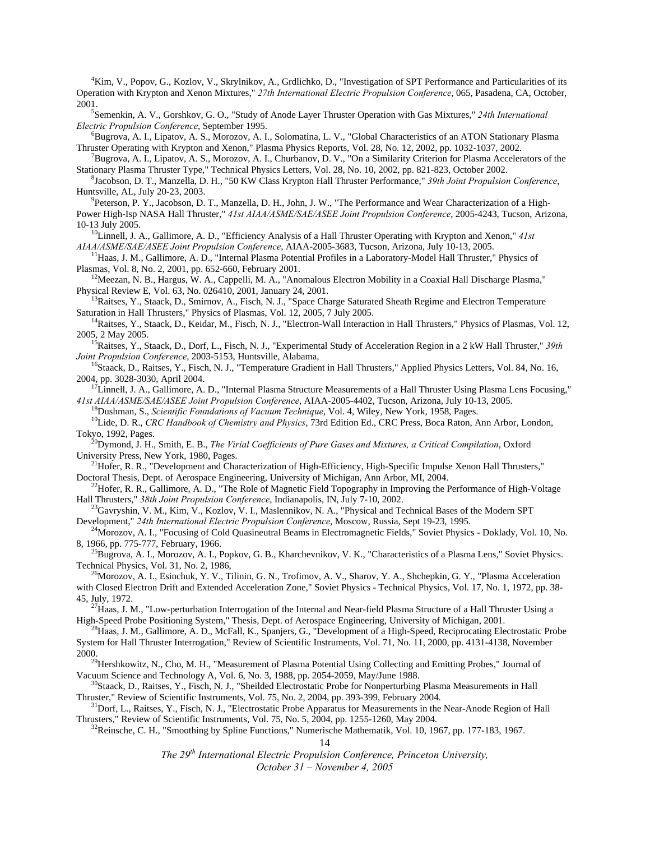4 Kim, V., Popov, G., Kozlov, V., Skrylnikov, A., Grdlichko, D., "Investigation of SPT Performance and Particularities of its Operation with Krypton and Xenon Mixtures," *27th International Electric Propulsion Conference*, 065, Pasadena, CA, October, 2001

Semenkin, A. V., Gorshkov, G. O., "Study of Anode Layer Thruster Operation with Gas Mixtures," *24th International Electric Propulsion Conference*, September 1995.

 ${}^{6}$ Bugrova, A. I., Lipatov, A. S., Morozov, A. I., Solomatina, L. V., "Global Characteristics of an ATON Stationary Plasma Thruster Operating with Krypton and Xenon," Plasma Physics Reports, Vol. 28, No. 12, 2002, pp. 1032-1037, 2002. 7

Bugrova, A. I., Lipatov, A. S., Morozov, A. I., Churbanov, D. V., "On a Similarity Criterion for Plasma Accelerators of the Stationary Plasma Thruster Type," Technical Physics Letters, Vol. 28, No. 10, 2002, pp. 821-823, October 2002.

Jacobson, D. T., Manzella, D. H., "50 KW Class Krypton Hall Thruster Performance," *39th Joint Propulsion Conference*, Huntsville, AL, July 20-23, 2003. 9

Peterson, P. Y., Jacobson, D. T., Manzella, D. H., John, J. W., "The Performance and Wear Characterization of a High-Power High-Isp NASA Hall Thruster," *41st AIAA/ASME/SAE/ASEE Joint Propulsion Conference*, 2005-4243, Tucson, Arizona, 10-13 July 2005. 10Linnell, J. A., Gallimore, A. D., "Efficiency Analysis of a Hall Thruster Operating with Krypton and Xenon," *41st* 

*AIAA/ASME/SAE/ASEE Joint Propulsion Conference*, AIAA-2005-3683, Tucson, Arizona, July 10-13, 2005.<br><sup>11</sup>Haas, J. M., Gallimore, A. D., "Internal Plasma Potential Profiles in a Laboratory-Model Hall Thruster," Physics of<br>P

<sup>12</sup> Meezan, N. B., Hargus, W. A., Cappelli, M. A., "Anomalous Electron Mobility in a Coaxial Hall Discharge Plasma,"<br>Physical Review E, Vol. 63, No. 026410, 2001, January 24, 2001.

<sup>13</sup>Raitses, Y., Staack, D., Smirnov, A., Fisch, N. J., "Space Charge Saturated Sheath Regime and Electron Temperature Saturation in Hall Thrusters," Physics of Plasmas, Vol. 12, 2005, 7 July 2005.

<sup>14</sup>Raitses, Y., Staack, D., Keidar, M., Fisch, N. J., "Electron-Wall Interaction in Hall Thrusters," Physics of Plasmas, Vol. 12,

2005, 2 May 2005.<br><sup>15</sup>Raitses, Y., Staack, D., Dorf, L., Fisch, N. J., "Experimental Study of Acceleration Region in a 2 kW Hall Thruster," 39th *Joint Propulsion Conference*, 2003-5153, Huntsville, Alabama,

<sup>16</sup>Staack, D., Raitses, Y., Fisch, N. J., "Temperature Gradient in Hall Thrusters," Applied Physics Letters, Vol. 84, No. 16, 2004, pp. 3028-3030, April 2004.

<sup>17</sup>Linnell, J. A., Gallimore, A. D., "Internal Plasma Structure Measurements of a Hall Thruster Using Plasma Lens Focusing,"

41st AIAA/ASME/SAE/ASEE Joint Propulsion Conference, AIAA-2005-4402, Tucson, Arizona, July 10-13, 2005.<br><sup>18</sup>Dushman, S., *Scientific Foundations of Vacuum Technique*, Vol. 4, Wiley, New York, 1958, Pages.<br><sup>19</sup>Lide, D. R.,

<sup>20</sup>Dymond, J. H., Smith, E. B., *The Virial Coefficients of Pure Gases and Mixtures, a Critical Compilation*, Oxford University Press, New York, 1980, Pages.

<sup>21</sup>Hofer, R. R., "Development and Characterization of High-Efficiency, High-Specific Impulse Xenon Hall Thrusters," Doctoral Thesis, Dept. of Aerospace Engineering, University of Michigan, Ann Arbor, MI, 2004.

<sup>22</sup>Hofer, R. R., Gallimore, A. D., "The Role of Magnetic Field Topography in Improving the Performance of High-Voltage Hall Thrusters,"  $38th$  Joint Propulsion Conference, Indianapolis, IN, July 7-10, 2002.

<sup>23</sup>Gavryshin, V. M., Kim, V., Kozlov, V. I., Maslennikov, N. A., "Physical and Technical Bases of the Modern SPT Development," 24th International Electric Propulsion Conference, Moscow, Russia, Sept 19-23, 1995.<br><sup>24</sup>Morozov, A. I., "Focusing of Cold Quasineutral Beams in Electromagnetic Fields," Soviet Physics - Doklady, Vol. 10, No.

8, 1966, pp. 775-777, February, 1966.<br><sup>25</sup>Bugrova, A. I., Morozov, A. I., Popkov, G. B., Kharchevnikov, V. K., "Characteristics of a Plasma Lens," Soviet Physics.

Technical Physics, Vol. 31, No. 2, 1986,<br><sup>26</sup>Morozov, A. I., Esinchuk, Y. V., Tilinin, G. N., Trofimov, A. V., Sharov, Y. A., Shchepkin, G. Y., "Plasma Acceleration with Closed Electron Drift and Extended Acceleration Zone," Soviet Physics - Technical Physics, Vol. 17, No. 1, 1972, pp. 38- 45, July, 1972.<br><sup>27</sup>Haas, J. M., "Low-perturbation Interrogation of the Internal and Near-field Plasma Structure of a Hall Thruster Using a

High-Speed Probe Positioning System," Thesis, Dept. of Aerospace Engineering, University of Michigan, 2001.<br><sup>28</sup>Haas, J. M., Gallimore, A. D., McFall, K., Spanjers, G., "Development of a High-Speed, Reciprocating Electrost

System for Hall Thruster Interrogation," Review of Scientific Instruments, Vol. 71, No. 11, 2000, pp. 4131-4138, November

2000. 29Hershkowitz, N., Cho, M. H., "Measurement of Plasma Potential Using Collecting and Emitting Probes," Journal of Vacuum Science and Technology A, Vol. 6, No. 3, 1988, pp. 2054-2059, May/June 1988.<br><sup>30</sup>Staack, D., Raitses, Y., Fisch, N. J., "Sheilded Electrostatic Probe for Nonperturbing Plasma Measurements in Hall

Thruster," Review of Scientific Instruments, Vol. 75, No. 2, 2004, pp. 393-399, February 2004. 31Dorf, L., Raitses, Y., Fisch, N. J., "Electrostatic Probe Apparatus for Measurements in the Near-Anode Region of Hall

Thrusters," Review of Scientific Instruments, Vol. 75, No. 5, 2004, pp. 1255-1260, May 2004.<br><sup>32</sup>Reinsche, C. H., "Smoothing by Spline Functions," Numerische Mathematik, Vol. 10, 1967, pp. 177-183, 1967.

14

*The 29th International Electric Propulsion Conference, Princeton University,* 

*October 31 – November 4, 2005*